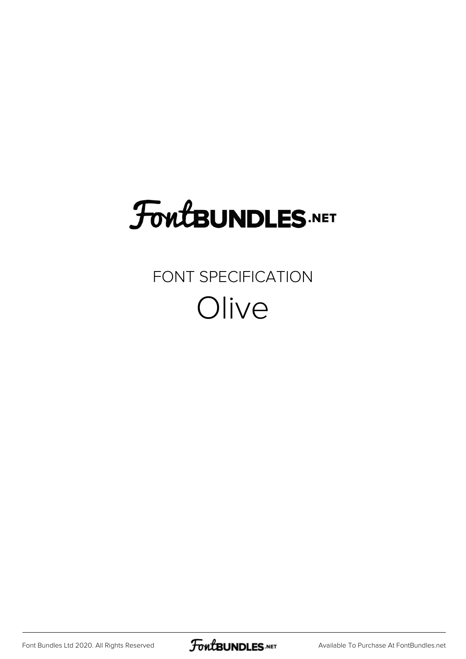## **FoutBUNDLES.NET**

## FONT SPECIFICATION **Olive**

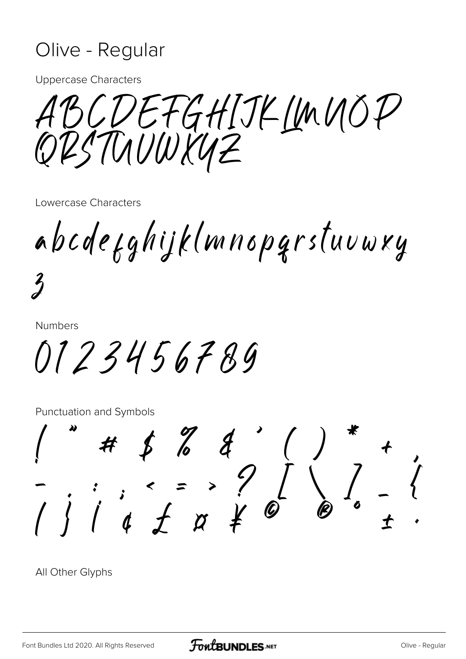## Olive - Regular

**Uppercase Characters** 

ABCDEFGHIJKLIMNOP ORSTUUWKYZ

Lowercase Characters

abcdekghijklmnopgrstuvwxy  $\frac{2}{3}$ 

**Numbers** 

0123456789

**Punctuation and Symbols** 

All Other Glyphs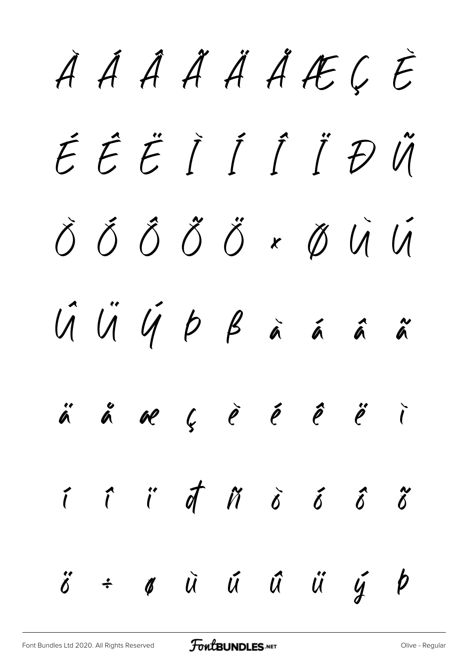